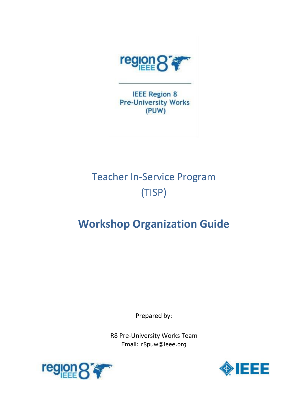

**IEEE Region 8 Pre-University Works** (PUW)

# Teacher In-Service Program (TISP)

# **Workshop Organization Guide**

Prepared by:

R8 Pre-University Works Team Email: r8puw@ieee.org



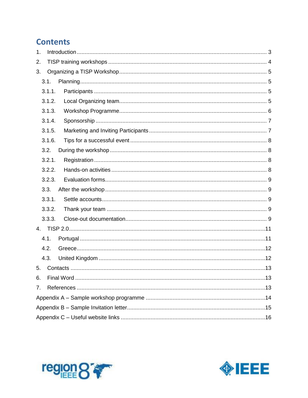# **Contents**

| $\mathbf 1$ . |        |  |
|---------------|--------|--|
| 2.            |        |  |
| 3.            |        |  |
|               | 3.1.   |  |
|               | 3.1.1. |  |
|               | 3.1.2. |  |
|               | 3.1.3. |  |
|               | 3.1.4. |  |
|               | 3.1.5. |  |
|               | 3.1.6. |  |
|               | 3.2.   |  |
|               | 3.2.1. |  |
|               | 3.2.2. |  |
|               | 3.2.3. |  |
|               | 3.3.   |  |
|               | 3.3.1. |  |
|               | 3.3.2. |  |
|               | 3.3.3. |  |
| 4.            |        |  |
|               | 4.1.   |  |
|               | 4.2.   |  |
|               | 4.3.   |  |
| 5.            |        |  |
| 6.            |        |  |
| 7.            |        |  |
|               |        |  |
|               |        |  |
|               |        |  |



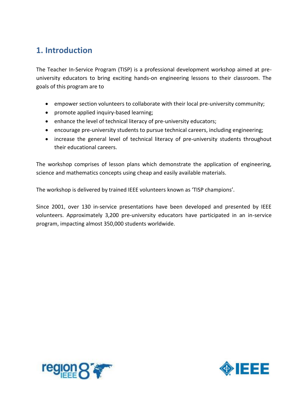### <span id="page-2-0"></span>**1. Introduction**

The Teacher In-Service Program (TISP) is a professional development workshop aimed at preuniversity educators to bring exciting hands-on engineering lessons to their classroom. The goals of this program are to

- empower section volunteers to collaborate with their local pre-university community;
- promote applied inquiry-based learning;
- enhance the level of technical literacy of pre-university educators;
- encourage pre-university students to pursue technical careers, including engineering;
- increase the general level of technical literacy of pre-university students throughout their educational careers.

The workshop comprises of lesson plans which demonstrate the application of engineering, science and mathematics concepts using cheap and easily available materials.

The workshop is delivered by trained IEEE volunteers known as 'TISP champions'.

Since 2001, over 130 in-service presentations have been developed and presented by IEEE volunteers. Approximately 3,200 pre-university educators have participated in an in-service program, impacting almost 350,000 students worldwide.



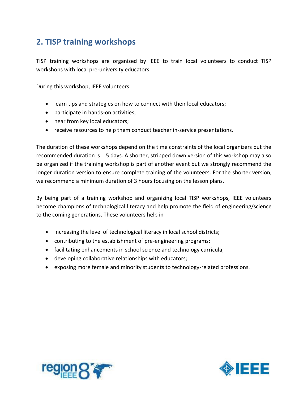# <span id="page-3-0"></span>**2. TISP training workshops**

TISP training workshops are organized by IEEE to train local volunteers to conduct TISP workshops with local pre-university educators.

During this workshop, IEEE volunteers:

- learn tips and strategies on how to connect with their local educators;
- participate in hands-on activities;
- hear from key local educators;
- receive resources to help them conduct teacher in-service presentations.

The duration of these workshops depend on the time constraints of the local organizers but the recommended duration is 1.5 days. A shorter, stripped down version of this workshop may also be organized if the training workshop is part of another event but we strongly recommend the longer duration version to ensure complete training of the volunteers. For the shorter version, we recommend a minimum duration of 3 hours focusing on the lesson plans.

By being part of a training workshop and organizing local TISP workshops, IEEE volunteers become champions of technological literacy and help promote the field of engineering/science to the coming generations. These volunteers help in

- increasing the level of technological literacy in local school districts;
- contributing to the establishment of pre-engineering programs;
- facilitating enhancements in school science and technology curricula;
- developing collaborative relationships with educators;
- exposing more female and minority students to technology-related professions.



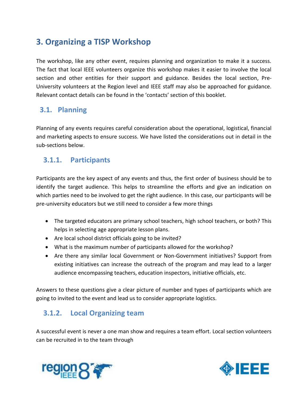# <span id="page-4-0"></span>**3. Organizing a TISP Workshop**

The workshop, like any other event, requires planning and organization to make it a success. The fact that local IEEE volunteers organize this workshop makes it easier to involve the local section and other entities for their support and guidance. Besides the local section, Pre-University volunteers at the Region level and IEEE staff may also be approached for guidance. Relevant contact details can be found in the 'contacts' section of this booklet.

#### <span id="page-4-1"></span>**3.1. Planning**

Planning of any events requires careful consideration about the operational, logistical, financial and marketing aspects to ensure success. We have listed the considerations out in detail in the sub-sections below.

#### <span id="page-4-2"></span>**3.1.1. Participants**

Participants are the key aspect of any events and thus, the first order of business should be to identify the target audience. This helps to streamline the efforts and give an indication on which parties need to be involved to get the right audience. In this case, our participants will be pre-university educators but we still need to consider a few more things

- The targeted educators are primary school teachers, high school teachers, or both? This helps in selecting age appropriate lesson plans.
- Are local school district officials going to be invited?
- What is the maximum number of participants allowed for the workshop?
- Are there any similar local Government or Non-Government initiatives? Support from existing initiatives can increase the outreach of the program and may lead to a larger audience encompassing teachers, education inspectors, initiative officials, etc.

Answers to these questions give a clear picture of number and types of participants which are going to invited to the event and lead us to consider appropriate logistics.

### <span id="page-4-3"></span>**3.1.2. Local Organizing team**

A successful event is never a one man show and requires a team effort. Local section volunteers can be recruited in to the team through



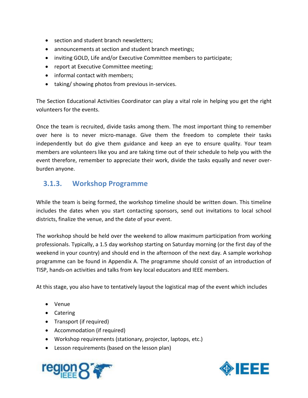- section and student branch newsletters;
- announcements at section and student branch meetings;
- inviting GOLD, Life and/or Executive Committee members to participate;
- report at Executive Committee meeting;
- informal contact with members:
- taking/ showing photos from previous in-services.

The Section Educational Activities Coordinator can play a vital role in helping you get the right volunteers for the events.

Once the team is recruited, divide tasks among them. The most important thing to remember over here is to never micro-manage. Give them the freedom to complete their tasks independently but do give them guidance and keep an eye to ensure quality. Your team members are volunteers like you and are taking time out of their schedule to help you with the event therefore, remember to appreciate their work, divide the tasks equally and never overburden anyone.

#### <span id="page-5-0"></span>**3.1.3. Workshop Programme**

While the team is being formed, the workshop timeline should be written down. This timeline includes the dates when you start contacting sponsors, send out invitations to local school districts, finalize the venue, and the date of your event.

The workshop should be held over the weekend to allow maximum participation from working professionals. Typically, a 1.5 day workshop starting on Saturday morning (or the first day of the weekend in your country) and should end in the afternoon of the next day. A sample workshop programme can be found in Appendix A. The programme should consist of an introduction of TISP, hands-on activities and talks from key local educators and IEEE members.

At this stage, you also have to tentatively layout the logistical map of the event which includes

- Venue
- Catering
- Transport (if required)
- Accommodation (if required)
- Workshop requirements (stationary, projector, laptops, etc.)
- Lesson requirements (based on the lesson plan)



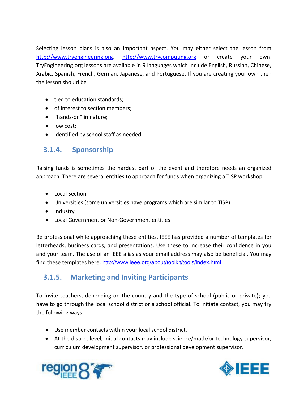Selecting lesson plans is also an important aspect. You may either select the lesson from [http://www.tryengineering.org,](http://www.tryengineering.org/) [http://www.trycomputing.org](http://www.trycomputing.org/) or create your own. TryEngineering.org lessons are available in 9 languages which include English, Russian, Chinese, Arabic, Spanish, French, German, Japanese, and Portuguese. If you are creating your own then the lesson should be

- tied to education standards;
- of interest to section members;
- "hands-on" in nature;
- low cost:
- <span id="page-6-0"></span>• Identified by school staff as needed.

#### **3.1.4. Sponsorship**

Raising funds is sometimes the hardest part of the event and therefore needs an organized approach. There are several entities to approach for funds when organizing a TISP workshop

- Local Section
- Universities (some universities have programs which are similar to TISP)
- Industry
- Local Government or Non-Government entities

Be professional while approaching these entities. IEEE has provided a number of templates for letterheads, business cards, and presentations. Use these to increase their confidence in you and your team. The use of an IEEE alias as your email address may also be beneficial. You may find these templates here: <http://www.ieee.org/about/toolkit/tools/index.html>

### <span id="page-6-1"></span>**3.1.5. Marketing and Inviting Participants**

To invite teachers, depending on the country and the type of school (public or private); you have to go through the local school district or a school official. To initiate contact, you may try the following ways

- Use member contacts within your local school district.
- At the district level, initial contacts may include science/math/or technology supervisor, curriculum development supervisor, or professional development supervisor.



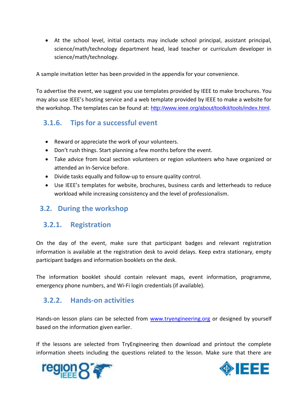At the school level, initial contacts may include school principal, assistant principal, science/math/technology department head, lead teacher or curriculum developer in science/math/technology.

A sample invitation letter has been provided in the appendix for your convenience.

To advertise the event, we suggest you use templates provided by IEEE to make brochures. You may also use IEEE's hosting service and a web template provided by IEEE to make a website for the workshop. The templates can be found at: [http://www.ieee.org/about/toolkit/tools/index.html.](http://www.ieee.org/about/toolkit/tools/index.html)

#### <span id="page-7-0"></span>**3.1.6. Tips for a successful event**

- Reward or appreciate the work of your volunteers.
- Don't rush things. Start planning a few months before the event.
- Take advice from local section volunteers or region volunteers who have organized or attended an In-Service before.
- Divide tasks equally and follow-up to ensure quality control.
- Use IEEE's templates for website, brochures, business cards and letterheads to reduce workload while increasing consistency and the level of professionalism.

#### <span id="page-7-1"></span>**3.2. During the workshop**

#### <span id="page-7-2"></span>**3.2.1. Registration**

On the day of the event, make sure that participant badges and relevant registration information is available at the registration desk to avoid delays. Keep extra stationary, empty participant badges and information booklets on the desk.

The information booklet should contain relevant maps, event information, programme, emergency phone numbers, and Wi-Fi login credentials (if available).

#### <span id="page-7-3"></span>**3.2.2. Hands-on activities**

Hands-on lesson plans can be selected from [www.tryengineering.org](http://www.tryengineering.org/) or designed by yourself based on the information given earlier.

If the lessons are selected from TryEngineering then download and printout the complete information sheets including the questions related to the lesson. Make sure that there are



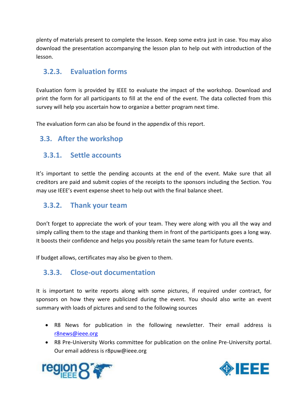plenty of materials present to complete the lesson. Keep some extra just in case. You may also download the presentation accompanying the lesson plan to help out with introduction of the lesson.

#### <span id="page-8-0"></span>**3.2.3. Evaluation forms**

Evaluation form is provided by IEEE to evaluate the impact of the workshop. Download and print the form for all participants to fill at the end of the event. The data collected from this survey will help you ascertain how to organize a better program next time.

The evaluation form can also be found in the appendix of this report.

#### <span id="page-8-1"></span>**3.3. After the workshop**

#### <span id="page-8-2"></span>**3.3.1. Settle accounts**

It's important to settle the pending accounts at the end of the event. Make sure that all creditors are paid and submit copies of the receipts to the sponsors including the Section. You may use IEEE's event expense sheet to help out with the final balance sheet.

#### <span id="page-8-3"></span>**3.3.2. Thank your team**

Don't forget to appreciate the work of your team. They were along with you all the way and simply calling them to the stage and thanking them in front of the participants goes a long way. It boosts their confidence and helps you possibly retain the same team for future events.

<span id="page-8-4"></span>If budget allows, certificates may also be given to them.

#### **3.3.3. Close-out documentation**

It is important to write reports along with some pictures, if required under contract, for sponsors on how they were publicized during the event. You should also write an event summary with loads of pictures and send to the following sources

- R8 News for publication in the following newsletter. Their email address is [r8news@ieee.org](mailto:r8news@ieee.org)
- R8 Pre-University Works committee for publication on the online Pre-University portal. Our email address is r8puw@ieee.org



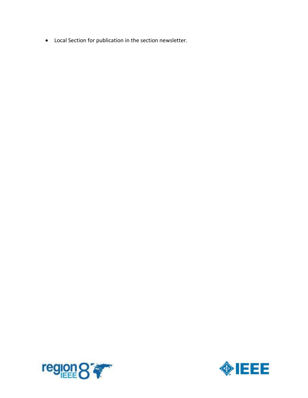Local Section for publication in the section newsletter.



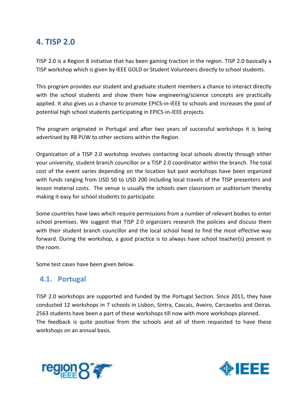### <span id="page-10-0"></span>**4. TISP 2.0**

TISP 2.0 is a Region 8 initiative that has been gaining traction in the region. TISP 2.0 basically a TISP workshop which is given by IEEE GOLD or Student Volunteers directly to school students.

This program provides our student and graduate student members a chance to interact directly with the school students and show them how engineering/science concepts are practically applied. It also gives us a chance to promote EPICS-in-IEEE to schools and increases the pool of potential high school students participating in EPICS-in-IEEE projects.

The program originated in Portugal and after two years of successful workshops it is being advertised by R8 PUW to other sections within the Region.

Organization of a TISP 2.0 workshop involves contacting local schools directly through either your university, student branch councillor or a TISP 2.0 coordinator within the branch. The total cost of the event varies depending on the location but past workshops have been organized with funds ranging from USD 50 to USD 200 including local travels of the TISP presenters and lesson material costs. The venue is usually the schools own classroom or auditorium thereby making it easy for school students to participate.

Some countries have laws which require permissions from a number of relevant bodies to enter school premises. We suggest that TISP 2.0 organizers research the policies and discuss them with their student branch councillor and the local school head to find the most effective way forward. During the workshop, a good practice is to always have school teacher(s) present in the room.

Some test cases have been given below.

#### <span id="page-10-1"></span>**4.1. Portugal**

TISP 2.0 workshops are supported and funded by the Portugal Section. Since 2011, they have conducted 12 workshops in 7 schools in Lisbon, Sintra, Cascais, Aveiro, Carcavelos and Oeiras. 2563 students have been a part of these workshops till now with more workshops planned. The feedback is quite positive from the schools and all of them requested to have these workshops on an annual basis.



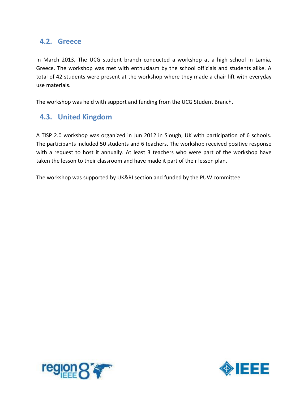#### <span id="page-11-0"></span>**4.2. Greece**

In March 2013, The UCG student branch conducted a workshop at a high school in Lamia, Greece. The workshop was met with enthusiasm by the school officials and students alike. A total of 42 students were present at the workshop where they made a chair lift with everyday use materials.

The workshop was held with support and funding from the UCG Student Branch.

#### <span id="page-11-1"></span>**4.3. United Kingdom**

A TISP 2.0 workshop was organized in Jun 2012 in Slough, UK with participation of 6 schools. The participants included 50 students and 6 teachers. The workshop received positive response with a request to host it annually. At least 3 teachers who were part of the workshop have taken the lesson to their classroom and have made it part of their lesson plan.

The workshop was supported by UK&RI section and funded by the PUW committee.



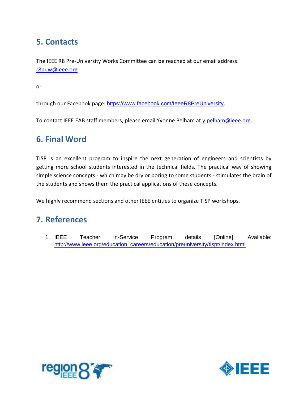# <span id="page-12-0"></span>**5. Contacts**

The IEEE R8 Pre-University Works Committee can be reached at our email address: [r8puw@ieee.org](mailto:r8puw@ieee.org)

or

through our Facebook page: https://www.facebook.com/leeeR8PreUniversity.

To contact IEEE EAB staff members, please email Yvonne Pelham at [y.pelham@ieee.org.](mailto:y.pelham@ieee.org)

### <span id="page-12-1"></span>**6. Final Word**

TISP is an excellent program to inspire the next generation of engineers and scientists by getting more school students interested in the technical fields. The practical way of showing simple science concepts - which may be dry or boring to some students - stimulates the brain of the students and shows them the practical applications of these concepts.

We highly recommend sections and other IEEE entities to organize TISP workshops.

### <span id="page-12-2"></span>**7. References**

1. IEEE Teacher In-Service Program details [Online]. Available: [http://www.ieee.org/education\\_careers/education/preuniversity/tispt/index.html](http://www.ieee.org/education_careers/education/preuniversity/tispt/index.html)



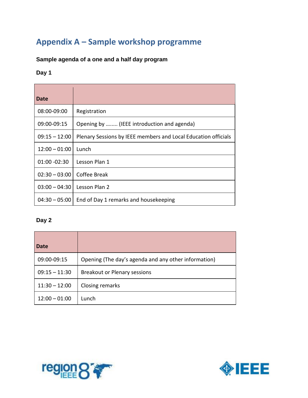# <span id="page-13-0"></span>**Appendix A – Sample workshop programme**

#### **Sample agenda of a one and a half day program**

#### **Day 1**

| Date            |                                                                |
|-----------------|----------------------------------------------------------------|
| 08:00-09:00     | Registration                                                   |
| 09:00-09:15     | Opening by  (IEEE introduction and agenda)                     |
| $09:15 - 12:00$ | Plenary Sessions by IEEE members and Local Education officials |
| $12:00 - 01:00$ | Lunch                                                          |
| 01:00 -02:30    | Lesson Plan 1                                                  |
| $02:30 - 03:00$ | Coffee Break                                                   |
| $03:00 - 04:30$ | Lesson Plan 2                                                  |
| $04:30 - 05:00$ | End of Day 1 remarks and housekeeping                          |

#### **Day 2**

| <b>Date</b>     |                                                      |
|-----------------|------------------------------------------------------|
| 09:00-09:15     | Opening (The day's agenda and any other information) |
| $09:15 - 11:30$ | <b>Breakout or Plenary sessions</b>                  |
| $11:30 - 12:00$ | Closing remarks                                      |
| $12:00 - 01:00$ | Lunch                                                |



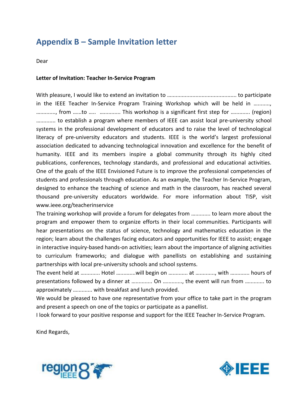# <span id="page-14-0"></span>**Appendix B – Sample Invitation letter**

Dear

#### **Letter of Invitation: Teacher In-Service Program**

With pleasure, I would like to extend an invitation to …........................................... to participate in the IEEE Teacher In-Service Program Training Workshop which will be held in ..........., ….........., from …...to ….. …........... This workshop is a significant first step for ….......... (region) ….......... to establish a program where members of IEEE can assist local pre-university school systems in the professional development of educators and to raise the level of technological literacy of pre-university educators and students. IEEE is the world's largest professional association dedicated to advancing technological innovation and excellence for the benefit of humanity. IEEE and its members inspire a global community through its highly cited publications, conferences, technology standards, and professional and educational activities. One of the goals of the IEEE Envisioned Future is to improve the professional competencies of students and professionals through education. As an example, the Teacher In-Service Program, designed to enhance the teaching of science and math in the classroom, has reached several thousand pre-university educators worldwide. For more information about TISP, visit www.ieee.org/teacherinservice

The training workshop will provide a forum for delegates from ….......... to learn more about the program and empower them to organize efforts in their local communities. Participants will hear presentations on the status of science, technology and mathematics education in the region; learn about the challenges facing educators and opportunities for IEEE to assist; engage in interactive inquiry-based hands-on activities; learn about the importance of aligning activities to curriculum frameworks; and dialogue with panellists on establishing and sustaining partnerships with local pre-university schools and school systems.

The event held at ….......... Hotel …..........will begin on ….......... at ….........., with ….......... hours of presentations followed by a dinner at …........... On ….........., the event will run from ….......... to approximately ….......... with breakfast and lunch provided.

We would be pleased to have one representative from your office to take part in the program and present a speech on one of the topics or participate as a panellist.

I look forward to your positive response and support for the IEEE Teacher In-Service Program.

Kind Regards,



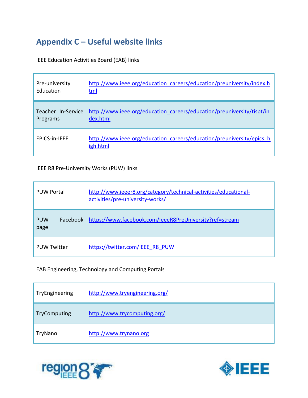# <span id="page-15-0"></span>**Appendix C – Useful website links**

IEEE Education Activities Board (EAB) links

| Pre-university       | http://www.ieee.org/education careers/education/preuniversity/index.h             |
|----------------------|-----------------------------------------------------------------------------------|
| Education            | <u>tml</u>                                                                        |
| Teacher In-Service   | http://www.ieee.org/education careers/education/preuniversity/tispt/in            |
| Programs             | dex.html                                                                          |
| <b>FPICS-in-IFFF</b> | http://www.ieee.org/education careers/education/preuniversity/epics h<br>igh.html |

#### IEEE R8 Pre-University Works (PUW) links

| <b>PUW Portal</b>              | http://www.ieeer8.org/category/technical-activities/educational-<br>activities/pre-university-works/ |
|--------------------------------|------------------------------------------------------------------------------------------------------|
| <b>PUW</b><br>Facebook<br>page | https://www.facebook.com/leeeR8PreUniversity?ref=stream                                              |
| <b>PUW Twitter</b>             | https://twitter.com/IEEE R8 PUW                                                                      |

#### EAB Engineering, Technology and Computing Portals

| TryEngineering | http://www.tryengineering.org/ |
|----------------|--------------------------------|
| TryComputing   | http://www.trycomputing.org/   |
| TryNano        | http://www.trynano.org         |